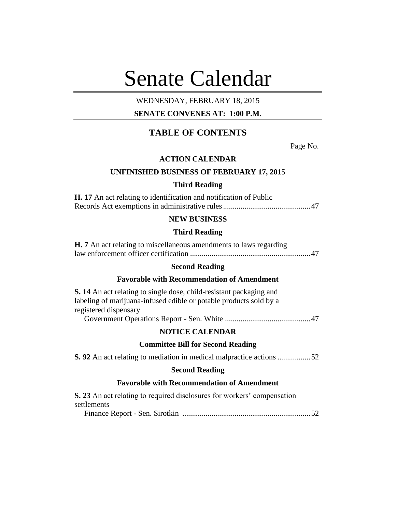# Senate Calendar

# WEDNESDAY, FEBRUARY 18, 2015

# **SENATE CONVENES AT: 1:00 P.M.**

# **TABLE OF CONTENTS**

Page No.

# **ACTION CALENDAR**

## **UNFINISHED BUSINESS OF FEBRUARY 17, 2015**

#### **Third Reading**

| <b>H.</b> 17 An act relating to identification and notification of Public |  |
|---------------------------------------------------------------------------|--|
|                                                                           |  |

# **NEW BUSINESS**

# **Third Reading**

| <b>H.</b> 7 An act relating to miscellaneous amendments to laws regarding |  |
|---------------------------------------------------------------------------|--|
|                                                                           |  |

# **Second Reading**

# **Favorable with Recommendation of Amendment**

| <b>S. 14</b> An act relating to single dose, child-resistant packaging and<br>labeling of marijuana-infused edible or potable products sold by a<br>registered dispensary |
|---------------------------------------------------------------------------------------------------------------------------------------------------------------------------|
|                                                                                                                                                                           |
| <b>NOTICE CALENDAR</b>                                                                                                                                                    |
| <b>Committee Bill for Second Reading</b>                                                                                                                                  |
| <b>S.</b> 92 An act relating to mediation in medical malpractice actions 52                                                                                               |
| <b>Second Reading</b>                                                                                                                                                     |
| <b>Favorable with Recommendation of Amendment</b>                                                                                                                         |
| S. 23 An act relating to required disclosures for workers' compensation                                                                                                   |

# settlements

Finance Report - Sen. Sirotkin ..................................................................52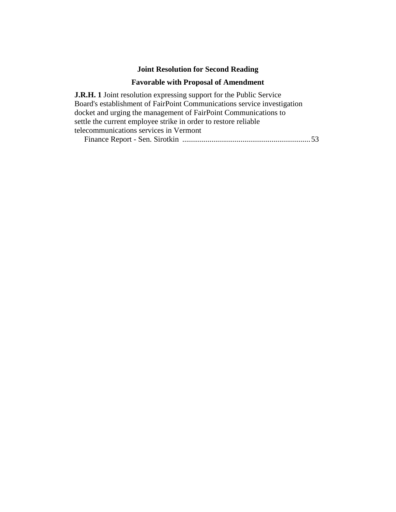# **Joint Resolution for Second Reading**

# **Favorable with Proposal of Amendment**

**J.R.H. 1** Joint resolution expressing support for the Public Service Board's establishment of FairPoint Communications service investigation docket and urging the management of FairPoint Communications to settle the current employee strike in order to restore reliable telecommunications services in Vermont

Finance Report - Sen. Sirotkin ..................................................................53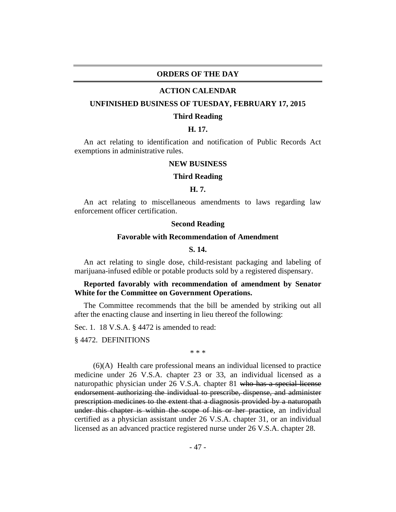# **ORDERS OF THE DAY**

#### **ACTION CALENDAR**

#### **UNFINISHED BUSINESS OF TUESDAY, FEBRUARY 17, 2015**

#### **Third Reading**

#### **H. 17.**

An act relating to identification and notification of Public Records Act exemptions in administrative rules.

#### **NEW BUSINESS**

#### **Third Reading**

#### **H. 7.**

An act relating to miscellaneous amendments to laws regarding law enforcement officer certification.

#### **Second Reading**

#### **Favorable with Recommendation of Amendment**

## **S. 14.**

An act relating to single dose, child-resistant packaging and labeling of marijuana-infused edible or potable products sold by a registered dispensary.

# **Reported favorably with recommendation of amendment by Senator White for the Committee on Government Operations.**

The Committee recommends that the bill be amended by striking out all after the enacting clause and inserting in lieu thereof the following:

Sec. 1. 18 V.S.A. § 4472 is amended to read:

§ 4472. DEFINITIONS

\* \* \*

(6)(A) Health care professional means an individual licensed to practice medicine under 26 V.S.A. chapter 23 or 33, an individual licensed as a naturopathic physician under 26 V.S.A. chapter 81 who has a special license endorsement authorizing the individual to prescribe, dispense, and administer prescription medicines to the extent that a diagnosis provided by a naturopath under this chapter is within the scope of his or her practice, an individual certified as a physician assistant under 26 V.S.A. chapter 31, or an individual licensed as an advanced practice registered nurse under 26 V.S.A. chapter 28.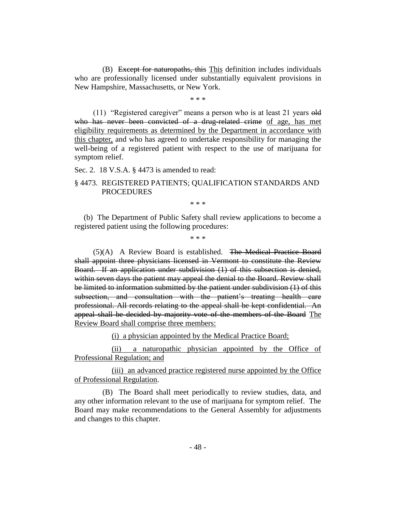(B) Except for naturopaths, this This definition includes individuals who are professionally licensed under substantially equivalent provisions in New Hampshire, Massachusetts, or New York.

\* \* \*

(11) "Registered caregiver" means a person who is at least 21 years old who has never been convicted of a drug-related crime of age, has met eligibility requirements as determined by the Department in accordance with this chapter, and who has agreed to undertake responsibility for managing the well-being of a registered patient with respect to the use of marijuana for symptom relief.

#### Sec. 2. 18 V.S.A. § 4473 is amended to read:

# § 4473. REGISTERED PATIENTS; QUALIFICATION STANDARDS AND PROCEDURES

\* \* \*

(b) The Department of Public Safety shall review applications to become a registered patient using the following procedures:

\* \* \*

(5)(A) A Review Board is established. The Medical Practice Board shall appoint three physicians licensed in Vermont to constitute the Review Board. If an application under subdivision (1) of this subsection is denied, within seven days the patient may appeal the denial to the Board. Review shall be limited to information submitted by the patient under subdivision (1) of this subsection, and consultation with the patient's treating health care professional. All records relating to the appeal shall be kept confidential. An appeal shall be decided by majority vote of the members of the Board The Review Board shall comprise three members:

(i) a physician appointed by the Medical Practice Board;

(ii) a naturopathic physician appointed by the Office of Professional Regulation; and

(iii) an advanced practice registered nurse appointed by the Office of Professional Regulation.

(B) The Board shall meet periodically to review studies, data, and any other information relevant to the use of marijuana for symptom relief. The Board may make recommendations to the General Assembly for adjustments and changes to this chapter.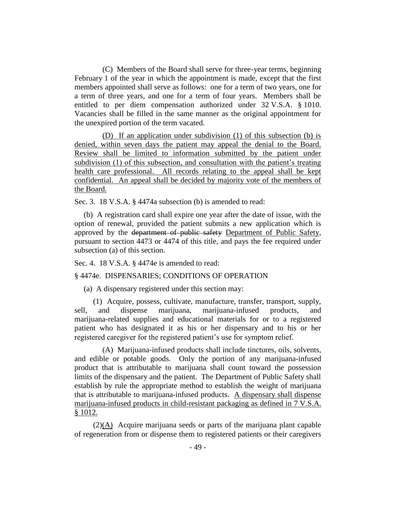(C) Members of the Board shall serve for three-year terms, beginning February 1 of the year in which the appointment is made, except that the first members appointed shall serve as follows: one for a term of two years, one for a term of three years, and one for a term of four years. Members shall be entitled to per diem compensation authorized under 32 V.S.A. § 1010. Vacancies shall be filled in the same manner as the original appointment for the unexpired portion of the term vacated.

(D) If an application under subdivision (1) of this subsection (b) is denied, within seven days the patient may appeal the denial to the Board. Review shall be limited to information submitted by the patient under subdivision (1) of this subsection, and consultation with the patient's treating health care professional. All records relating to the appeal shall be kept confidential. An appeal shall be decided by majority vote of the members of the Board.

Sec. 3. 18 V.S.A. § 4474a subsection (b) is amended to read:

(b) A registration card shall expire one year after the date of issue, with the option of renewal, provided the patient submits a new application which is approved by the department of public safety Department of Public Safety, pursuant to section 4473 or 4474 of this title, and pays the fee required under subsection (a) of this section.

Sec. 4. 18 V.S.A. § 4474e is amended to read:

## § 4474e. DISPENSARIES; CONDITIONS OF OPERATION

(a) A dispensary registered under this section may:

(1) Acquire, possess, cultivate, manufacture, transfer, transport, supply, sell, and dispense marijuana, marijuana-infused products, and marijuana-related supplies and educational materials for or to a registered patient who has designated it as his or her dispensary and to his or her registered caregiver for the registered patient's use for symptom relief.

(A) Marijuana-infused products shall include tinctures, oils, solvents, and edible or potable goods. Only the portion of any marijuana-infused product that is attributable to marijuana shall count toward the possession limits of the dispensary and the patient. The Department of Public Safety shall establish by rule the appropriate method to establish the weight of marijuana that is attributable to marijuana-infused products. A dispensary shall dispense marijuana-infused products in child-resistant packaging as defined in 7 V.S.A. § 1012.

 $(2)(\overline{A})$  Acquire marijuana seeds or parts of the marijuana plant capable of regeneration from or dispense them to registered patients or their caregivers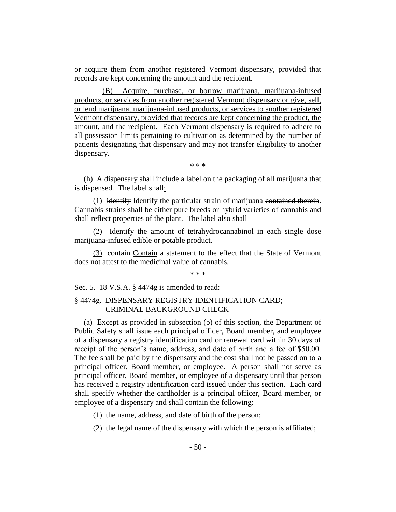or acquire them from another registered Vermont dispensary, provided that records are kept concerning the amount and the recipient.

(B) Acquire, purchase, or borrow marijuana, marijuana-infused products, or services from another registered Vermont dispensary or give, sell, or lend marijuana, marijuana-infused products, or services to another registered Vermont dispensary, provided that records are kept concerning the product, the amount, and the recipient. Each Vermont dispensary is required to adhere to all possession limits pertaining to cultivation as determined by the number of patients designating that dispensary and may not transfer eligibility to another dispensary.

\* \* \*

(h) A dispensary shall include a label on the packaging of all marijuana that is dispensed. The label shall:

(1) identify Identify the particular strain of marijuana contained therein. Cannabis strains shall be either pure breeds or hybrid varieties of cannabis and shall reflect properties of the plant. The label also shall

(2) Identify the amount of tetrahydrocannabinol in each single dose marijuana-infused edible or potable product.

(3) contain Contain a statement to the effect that the State of Vermont does not attest to the medicinal value of cannabis.

\* \* \*

Sec. 5. 18 V.S.A. § 4474g is amended to read:

# § 4474g. DISPENSARY REGISTRY IDENTIFICATION CARD; CRIMINAL BACKGROUND CHECK

(a) Except as provided in subsection (b) of this section, the Department of Public Safety shall issue each principal officer, Board member, and employee of a dispensary a registry identification card or renewal card within 30 days of receipt of the person's name, address, and date of birth and a fee of \$50.00. The fee shall be paid by the dispensary and the cost shall not be passed on to a principal officer, Board member, or employee. A person shall not serve as principal officer, Board member, or employee of a dispensary until that person has received a registry identification card issued under this section. Each card shall specify whether the cardholder is a principal officer, Board member, or employee of a dispensary and shall contain the following:

(1) the name, address, and date of birth of the person;

(2) the legal name of the dispensary with which the person is affiliated;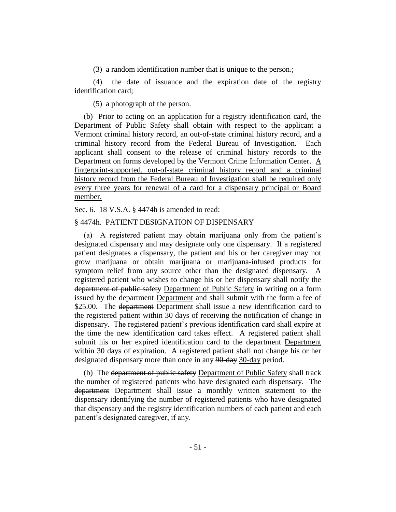(3) a random identification number that is unique to the person.;

(4) the date of issuance and the expiration date of the registry identification card;

(5) a photograph of the person.

(b) Prior to acting on an application for a registry identification card, the Department of Public Safety shall obtain with respect to the applicant a Vermont criminal history record, an out-of-state criminal history record, and a criminal history record from the Federal Bureau of Investigation. Each applicant shall consent to the release of criminal history records to the Department on forms developed by the Vermont Crime Information Center. A fingerprint-supported, out-of-state criminal history record and a criminal history record from the Federal Bureau of Investigation shall be required only every three years for renewal of a card for a dispensary principal or Board member.

Sec. 6. 18 V.S.A. § 4474h is amended to read:

#### § 4474h. PATIENT DESIGNATION OF DISPENSARY

(a) A registered patient may obtain marijuana only from the patient's designated dispensary and may designate only one dispensary. If a registered patient designates a dispensary, the patient and his or her caregiver may not grow marijuana or obtain marijuana or marijuana-infused products for symptom relief from any source other than the designated dispensary. A registered patient who wishes to change his or her dispensary shall notify the department of public safety Department of Public Safety in writing on a form issued by the department Department and shall submit with the form a fee of \$25.00. The <del>department</del> Department shall issue a new identification card to the registered patient within 30 days of receiving the notification of change in dispensary. The registered patient's previous identification card shall expire at the time the new identification card takes effect. A registered patient shall submit his or her expired identification card to the department Department within 30 days of expiration. A registered patient shall not change his or her designated dispensary more than once in any 90-day 30-day period.

(b) The department of public safety Department of Public Safety shall track the number of registered patients who have designated each dispensary. The department Department shall issue a monthly written statement to the dispensary identifying the number of registered patients who have designated that dispensary and the registry identification numbers of each patient and each patient's designated caregiver, if any.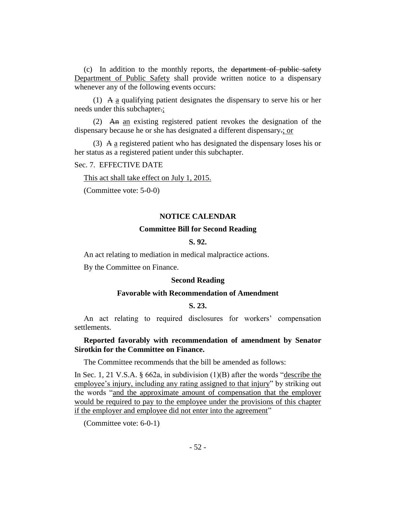(c) In addition to the monthly reports, the department of public safety Department of Public Safety shall provide written notice to a dispensary whenever any of the following events occurs:

(1) A a qualifying patient designates the dispensary to serve his or her needs under this subchapter.;

(2) An an existing registered patient revokes the designation of the dispensary because he or she has designated a different dispensary.; or

(3) A  $\alpha$  registered patient who has designated the dispensary loses his or her status as a registered patient under this subchapter.

## Sec. 7. EFFECTIVE DATE

This act shall take effect on July 1, 2015.

(Committee vote: 5-0-0)

#### **NOTICE CALENDAR**

#### **Committee Bill for Second Reading**

#### **S. 92.**

An act relating to mediation in medical malpractice actions.

By the Committee on Finance.

#### **Second Reading**

#### **Favorable with Recommendation of Amendment**

#### **S. 23.**

An act relating to required disclosures for workers' compensation settlements.

## **Reported favorably with recommendation of amendment by Senator Sirotkin for the Committee on Finance.**

The Committee recommends that the bill be amended as follows:

In Sec. 1, 21 V.S.A. § 662a, in subdivision (1)(B) after the words "describe the employee's injury, including any rating assigned to that injury" by striking out the words "and the approximate amount of compensation that the employer would be required to pay to the employee under the provisions of this chapter if the employer and employee did not enter into the agreement"

(Committee vote: 6-0-1)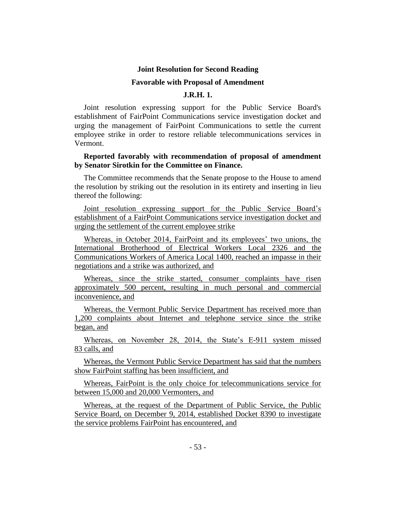#### **Joint Resolution for Second Reading**

#### **Favorable with Proposal of Amendment**

# **J.R.H. 1.**

Joint resolution expressing support for the Public Service Board's establishment of FairPoint Communications service investigation docket and urging the management of FairPoint Communications to settle the current employee strike in order to restore reliable telecommunications services in Vermont.

### **Reported favorably with recommendation of proposal of amendment by Senator Sirotkin for the Committee on Finance.**

The Committee recommends that the Senate propose to the House to amend the resolution by striking out the resolution in its entirety and inserting in lieu thereof the following:

Joint resolution expressing support for the Public Service Board's establishment of a FairPoint Communications service investigation docket and urging the settlement of the current employee strike

Whereas, in October 2014, FairPoint and its employees' two unions, the International Brotherhood of Electrical Workers Local 2326 and the Communications Workers of America Local 1400, reached an impasse in their negotiations and a strike was authorized, and

Whereas, since the strike started, consumer complaints have risen approximately 500 percent, resulting in much personal and commercial inconvenience, and

Whereas, the Vermont Public Service Department has received more than 1,200 complaints about Internet and telephone service since the strike began, and

Whereas, on November 28, 2014, the State's E-911 system missed 83 calls, and

Whereas, the Vermont Public Service Department has said that the numbers show FairPoint staffing has been insufficient, and

Whereas, FairPoint is the only choice for telecommunications service for between 15,000 and 20,000 Vermonters, and

Whereas, at the request of the Department of Public Service, the Public Service Board, on December 9, 2014, established Docket 8390 to investigate the service problems FairPoint has encountered, and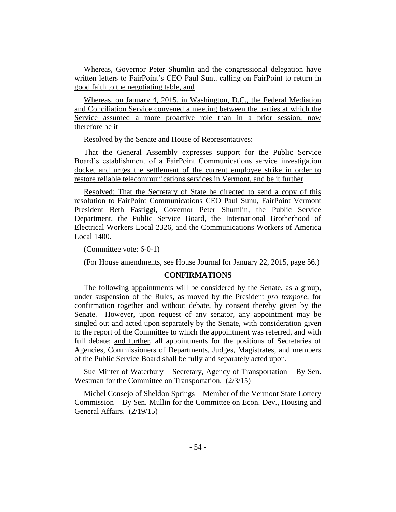Whereas, Governor Peter Shumlin and the congressional delegation have written letters to FairPoint's CEO Paul Sunu calling on FairPoint to return in good faith to the negotiating table, and

Whereas, on January 4, 2015, in Washington, D.C., the Federal Mediation and Conciliation Service convened a meeting between the parties at which the Service assumed a more proactive role than in a prior session, now therefore be it

Resolved by the Senate and House of Representatives:

That the General Assembly expresses support for the Public Service Board's establishment of a FairPoint Communications service investigation docket and urges the settlement of the current employee strike in order to restore reliable telecommunications services in Vermont, and be it further

Resolved: That the Secretary of State be directed to send a copy of this resolution to FairPoint Communications CEO Paul Sunu, FairPoint Vermont President Beth Fastiggi, Governor Peter Shumlin, the Public Service Department, the Public Service Board, the International Brotherhood of Electrical Workers Local 2326, and the Communications Workers of America Local 1400.

(Committee vote: 6-0-1)

(For House amendments, see House Journal for January 22, 2015, page 56.)

#### **CONFIRMATIONS**

The following appointments will be considered by the Senate, as a group, under suspension of the Rules, as moved by the President *pro tempore,* for confirmation together and without debate, by consent thereby given by the Senate. However, upon request of any senator, any appointment may be singled out and acted upon separately by the Senate, with consideration given to the report of the Committee to which the appointment was referred, and with full debate; and further, all appointments for the positions of Secretaries of Agencies, Commissioners of Departments, Judges, Magistrates, and members of the Public Service Board shall be fully and separately acted upon.

Sue Minter of Waterbury – Secretary, Agency of Transportation – By Sen. Westman for the Committee on Transportation. (2/3/15)

Michel Consejo of Sheldon Springs – Member of the Vermont State Lottery Commission – By Sen. Mullin for the Committee on Econ. Dev., Housing and General Affairs. (2/19/15)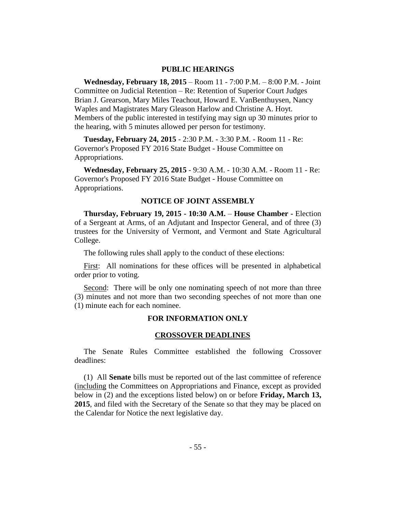#### **PUBLIC HEARINGS**

**Wednesday, February 18, 2015** – Room 11 - 7:00 P.M. – 8:00 P.M. - Joint Committee on Judicial Retention – Re: Retention of Superior Court Judges Brian J. Grearson, Mary Miles Teachout, Howard E. VanBenthuysen, Nancy Waples and Magistrates Mary Gleason Harlow and Christine A. Hoyt. Members of the public interested in testifying may sign up 30 minutes prior to the hearing, with 5 minutes allowed per person for testimony.

**Tuesday, February 24, 2015** - 2:30 P.M. - 3:30 P.M. - Room 11 - Re: Governor's Proposed FY 2016 State Budget - House Committee on Appropriations.

**Wednesday, February 25, 2015** - 9:30 A.M. - 10:30 A.M. - Room 11 - Re: Governor's Proposed FY 2016 State Budget - House Committee on Appropriations.

#### **NOTICE OF JOINT ASSEMBLY**

**Thursday, February 19, 2015 - 10:30 A.M.** – **House Chamber -** Election of a Sergeant at Arms, of an Adjutant and Inspector General, and of three (3) trustees for the University of Vermont, and Vermont and State Agricultural College.

The following rules shall apply to the conduct of these elections:

First: All nominations for these offices will be presented in alphabetical order prior to voting.

Second: There will be only one nominating speech of not more than three (3) minutes and not more than two seconding speeches of not more than one (1) minute each for each nominee.

#### **FOR INFORMATION ONLY**

# **CROSSOVER DEADLINES**

The Senate Rules Committee established the following Crossover deadlines:

(1) All **Senate** bills must be reported out of the last committee of reference (including the Committees on Appropriations and Finance, except as provided below in (2) and the exceptions listed below) on or before **Friday, March 13, 2015**, and filed with the Secretary of the Senate so that they may be placed on the Calendar for Notice the next legislative day.